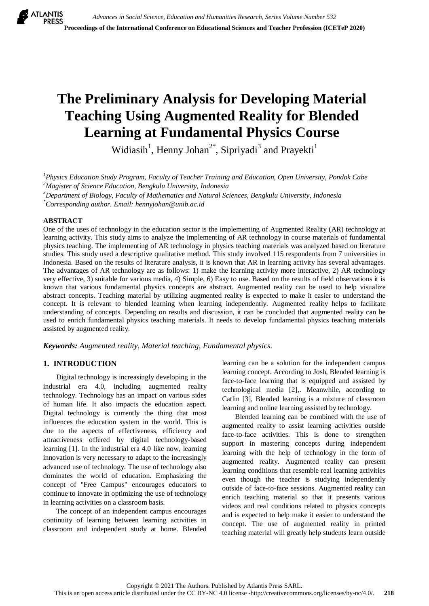# **The Preliminary Analysis for Developing Material Teaching Using Augmented Reality for Blended Learning at Fundamental Physics Course**

Widiasih<sup>1</sup>, Henny Johan<sup>2\*</sup>, Sipriyadi<sup>3</sup> and Prayekti<sup>1</sup>

*1 Physics Education Study Program, Faculty of Teacher Training and Education, Open University, Pondok Cabe <sup>2</sup>Magister of Science Education, Bengkulu University, Indonesia*

*<sup>3</sup>Department of Biology, Faculty of Mathematics and Natural Sciences, Bengkulu University, Indonesia*

*\*Corresponding author. Email[: hennyjohan@unib.ac.id](mailto:hennyjohan@unib.ac.id)*

# **ABSTRACT**

One of the uses of technology in the education sector is the implementing of Augmented Reality (AR) technology at learning activity. This study aims to analyze the implementing of AR technology in course materials of fundamental physics teaching. The implementing of AR technology in physics teaching materials was analyzed based on literature studies. This study used a descriptive qualitative method. This study involved 115 respondents from 7 universities in Indonesia. Based on the results of literature analysis, it is known that AR in learning activity has several advantages. The advantages of AR technology are as follows: 1) make the learning activity more interactive, 2) AR technology very effective, 3) suitable for various media, 4) Simple, 6) Easy to use. Based on the results of field observations it is known that various fundamental physics concepts are abstract. Augmented reality can be used to help visualize abstract concepts. Teaching material by utilizing augmented reality is expected to make it easier to understand the concept. It is relevant to blended learning when learning independently. Augmented reality helps to facilitate understanding of concepts. Depending on results and discussion, it can be concluded that augmented reality can be used to enrich fundamental physics teaching materials. It needs to develop fundamental physics teaching materials assisted by augmented reality.

*Keywords: Augmented reality, Material teaching, Fundamental physics.*

# **1. INTRODUCTION**

Digital technology is increasingly developing in the industrial era 4.0, including augmented reality technology. Technology has an impact on various sides of human life. It also impacts the education aspect. Digital technology is currently the thing that most influences the education system in the world. This is due to the aspects of effectiveness, efficiency and attractiveness offered by digital technology-based learning [1]. In the industrial era 4.0 like now, learning innovation is very necessary to adapt to the increasingly advanced use of technology. The use of technology also dominates the world of education. Emphasizing the concept of "Free Campus" encourages educators to continue to innovate in optimizing the use of technology in learning activities on a classroom basis.

The concept of an independent campus encourages continuity of learning between learning activities in classroom and independent study at home. Blended learning can be a solution for the independent campus learning concept. According to Josh, Blended learning is face-to-face learning that is equipped and assisted by technological media [2],. Meanwhile, according to Catlin [3], Blended learning is a mixture of classroom learning and online learning assisted by technology.

Blended learning can be combined with the use of augmented reality to assist learning activities outside face-to-face activities. This is done to strengthen support in mastering concepts during independent learning with the help of technology in the form of augmented reality. Augmented reality can present learning conditions that resemble real learning activities even though the teacher is studying independently outside of face-to-face sessions. Augmented reality can enrich teaching material so that it presents various videos and real conditions related to physics concepts and is expected to help make it easier to understand the concept. The use of augmented reality in printed teaching material will greatly help students learn outside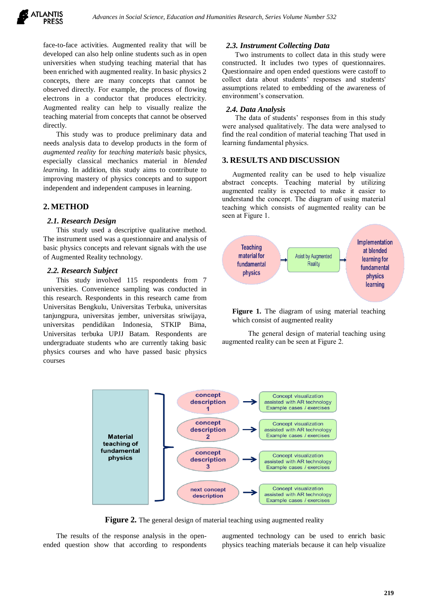

face-to-face activities. Augmented reality that will be developed can also help online students such as in open universities when studying teaching material that has been enriched with augmented reality. In basic physics 2 concepts, there are many concepts that cannot be observed directly. For example, the process of flowing electrons in a conductor that produces electricity. Augmented reality can help to visually realize the teaching material from concepts that cannot be observed directly.

This study was to produce preliminary data and needs analysis data to develop products in the form of *augmented reality* for *teaching materials* basic physics, especially classical mechanics material in *blended learning*. In addition, this study aims to contribute to improving mastery of physics concepts and to support independent and independent campuses in learning.

# **2. METHOD**

#### *2.1. Research Design*

This study used a descriptive qualitative method. The instrument used was a questionnaire and analysis of basic physics concepts and relevant signals with the use of Augmented Reality technology.

## *2.2. Research Subject*

This study involved 115 respondents from 7 universities. Convenience sampling was conducted in this research. Respondents in this research came from Universitas Bengkulu, Universitas Terbuka, universitas tanjungpura, universitas jember, universitas sriwijaya, universitas pendidikan Indonesia, STKIP Bima, Universitas terbuka UPJJ Batam. Respondents are undergraduate students who are currently taking basic physics courses and who have passed basic physics courses

## *2.3. Instrument Collecting Data*

Two instruments to collect data in this study were constructed. It includes two types of questionnaires. Questionnaire and open ended questions were castoff to collect data about students' responses and students' assumptions related to embedding of the awareness of environment's conservation.

## *2.4. Data Analysis*

The data of students' responses from in this study were analysed qualitatively. The data were analysed to find the real condition of material teaching That used in learning fundamental physics.

# **3. RESULTS AND DISCUSSION**

Augmented reality can be used to help visualize abstract concepts. Teaching material by utilizing augmented reality is expected to make it easier to understand the concept. The diagram of using material teaching which consists of augmented reality can be seen at Figure 1.



Figure 1. The diagram of using material teaching which consist of augmented reality

The general design of material teaching using augmented reality can be seen at Figure 2.



**Figure 2.** The general design of material teaching using augmented reality

The results of the response analysis in the openended question show that according to respondents augmented technology can be used to enrich basic physics teaching materials because it can help visualize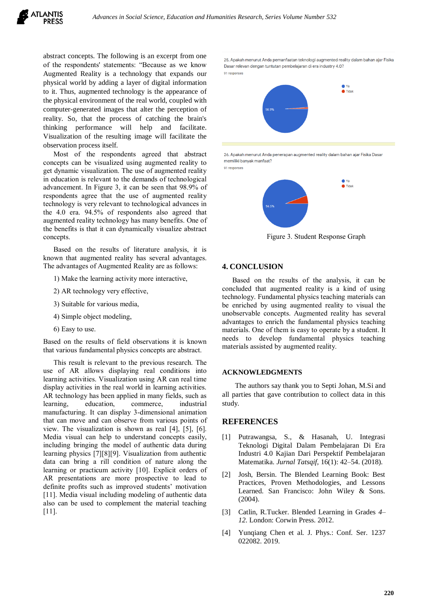abstract concepts. The following is an excerpt from one of the respondents' statements: "Because as we know Augmented Reality is a technology that expands our physical world by adding a layer of digital information to it. Thus, augmented technology is the appearance of the physical environment of the real world, coupled with computer-generated images that alter the perception of reality. So, that the process of catching the brain's thinking performance will help and facilitate. Visualization of the resulting image will facilitate the observation process itself.

Most of the respondents agreed that abstract concepts can be visualized using augmented reality to get dynamic visualization. The use of augmented reality in education is relevant to the demands of technological advancement. In Figure 3, it can be seen that 98.9% of respondents agree that the use of augmented reality technology is very relevant to technological advances in the 4.0 era. 94.5% of respondents also agreed that augmented reality technology has many benefits. One of the benefits is that it can dynamically visualize abstract concepts.

Based on the results of literature analysis, it is known that augmented reality has several advantages. The advantages of Augmented Reality are as follows:

- 1) Make the learning activity more interactive,
- 2) AR technology very effective,
- 3) Suitable for various media,
- 4) Simple object modeling,
- 6) Easy to use.

Based on the results of field observations it is known that various fundamental physics concepts are abstract.

This result is relevant to the previous research. The use of AR allows displaying real conditions into learning activities. Visualization using AR can real time display activities in the real world in learning activities. AR technology has been applied in many fields, such as learning, education, commerce, industrial manufacturing. It can display 3-dimensional animation that can move and can observe from various points of view. The visualization is shown as real [4], [5], [6]. Media visual can help to understand concepts easily, including bringing the model of authentic data during learning physics [7][8][9]. Visualization from authentic data can bring a rill condition of nature along the learning or practicum activity [10]. Explicit orders of AR presentations are more prospective to lead to definite profits such as improved students' motivation [11]. Media visual including modeling of authentic data also can be used to complement the material teaching [11].

25. Apakah menurut Anda pemanfaatan teknologi augmented reality dalam bahan ajar Fisika Dasar relevan dengan tuntutan pembelajaran di era industry 4.0?



26. Apakah menurut Anda penerapan augmented reality dalam bahan ajar Fisika Dasar memiliki banyak manfaat? 91 responses



Figure 3. Student Response Graph

#### **4. CONCLUSION**

Based on the results of the analysis, it can be concluded that augmented reality is a kind of using technology. Fundamental physics teaching materials can be enriched by using augmented reality to visual the unobservable concepts. Augmented reality has several advantages to enrich the fundamental physics teaching materials. One of them is easy to operate by a student. It needs to develop fundamental physics teaching materials assisted by augmented reality.

#### **ACKNOWLEDGMENTS**

The authors say thank you to Septi Johan, M.Si and all parties that gave contribution to collect data in this study.

### **REFERENCES**

- [1] Putrawangsa, S., & Hasanah, U. Integrasi Teknologi Digital Dalam Pembelajaran Di Era Industri 4.0 Kajian Dari Perspektif Pembelajaran Matematika. *Jurnal Tatsqif,* 16(1): 42–54. (2018).
- [2] Josh, Bersin. The Blended Learning Book: Best Practices, Proven Methodologies, and Lessons Learned. San Francisco: John Wiley & Sons. (2004).
- [3] Catlin, R.Tucker. Blended Learning in Grades *4– 12*. London: Corwin Press. 2012.
- [4] Yunqiang Chen et al. J. Phys.: Conf. Ser. 1237 022082. 2019.